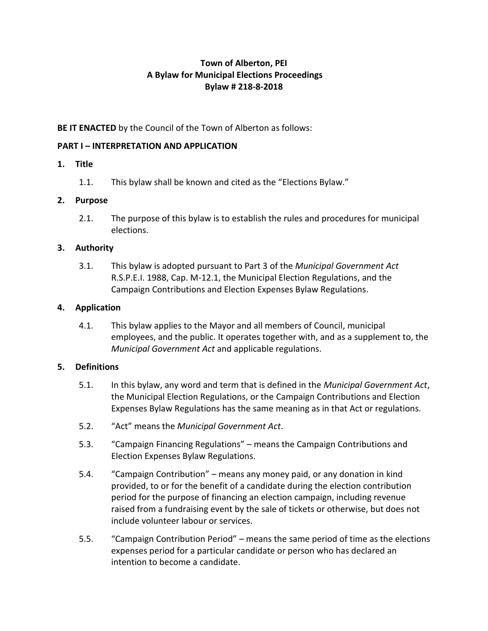# **Town of Alberton, PEI A Bylaw for Municipal Elections Proceedings Bylaw # 218-8-2018**

## **BE IT ENACTED** by the Council of the Town of Alberton as follows:

## **PART I – INTERPRETATION AND APPLICATION**

## **1. Title**

1.1. This bylaw shall be known and cited as the "Elections Bylaw."

## **2. Purpose**

2.1. The purpose of this bylaw is to establish the rules and procedures for municipal elections.

## **3. Authority**

3.1. This bylaw is adopted pursuant to Part 3 of the *Municipal Government Act*  R.S.P.E.I. 1988, Cap. M-12.1, the Municipal Election Regulations, and the Campaign Contributions and Election Expenses Bylaw Regulations.

## **4. Application**

4.1. This bylaw applies to the Mayor and all members of Council, municipal employees, and the public. It operates together with, and as a supplement to, the *Municipal Government Act* and applicable regulations.

### **5. Definitions**

- 5.1. In this bylaw, any word and term that is defined in the *Municipal Government Act*, the Municipal Election Regulations, or the Campaign Contributions and Election Expenses Bylaw Regulations has the same meaning as in that Act or regulations.
- 5.2. "Act" means the *Municipal Government Act*.
- 5.3. "Campaign Financing Regulations" means the Campaign Contributions and Election Expenses Bylaw Regulations.
- 5.4. "Campaign Contribution" means any money paid, or any donation in kind provided, to or for the benefit of a candidate during the election contribution period for the purpose of financing an election campaign, including revenue raised from a fundraising event by the sale of tickets or otherwise, but does not include volunteer labour or services.
- 5.5. "Campaign Contribution Period" means the same period of time as the elections expenses period for a particular candidate or person who has declared an intention to become a candidate.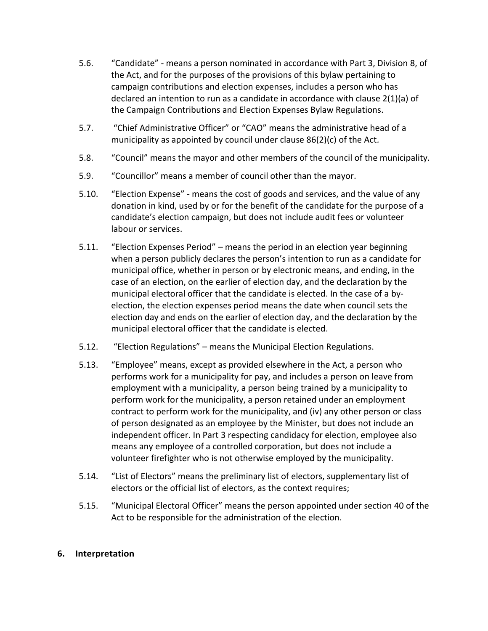- 5.6. "Candidate" means a person nominated in accordance with Part 3, Division 8, of the Act, and for the purposes of the provisions of this bylaw pertaining to campaign contributions and election expenses, includes a person who has declared an intention to run as a candidate in accordance with clause 2(1)(a) of the Campaign Contributions and Election Expenses Bylaw Regulations.
- 5.7. "Chief Administrative Officer" or "CAO" means the administrative head of a municipality as appointed by council under clause 86(2)(c) of the Act*.*
- 5.8. "Council" means the mayor and other members of the council of the municipality.
- 5.9. "Councillor" means a member of council other than the mayor.
- 5.10. "Election Expense" means the cost of goods and services, and the value of any donation in kind, used by or for the benefit of the candidate for the purpose of a candidate's election campaign, but does not include audit fees or volunteer labour or services.
- 5.11. "Election Expenses Period" means the period in an election year beginning when a person publicly declares the person's intention to run as a candidate for municipal office, whether in person or by electronic means, and ending, in the case of an election, on the earlier of election day, and the declaration by the municipal electoral officer that the candidate is elected. In the case of a byelection, the election expenses period means the date when council sets the election day and ends on the earlier of election day, and the declaration by the municipal electoral officer that the candidate is elected.
- 5.12. "Election Regulations" means the Municipal Election Regulations.
- 5.13. "Employee" means, except as provided elsewhere in the Act, a person who performs work for a municipality for pay, and includes a person on leave from employment with a municipality, a person being trained by a municipality to perform work for the municipality, a person retained under an employment contract to perform work for the municipality, and (iv) any other person or class of person designated as an employee by the Minister, but does not include an independent officer. In Part 3 respecting candidacy for election, employee also means any employee of a controlled corporation, but does not include a volunteer firefighter who is not otherwise employed by the municipality.
- 5.14. "List of Electors" means the preliminary list of electors, supplementary list of electors or the official list of electors, as the context requires;
- 5.15. "Municipal Electoral Officer" means the person appointed under section 40 of the Act to be responsible for the administration of the election.

#### **6. Interpretation**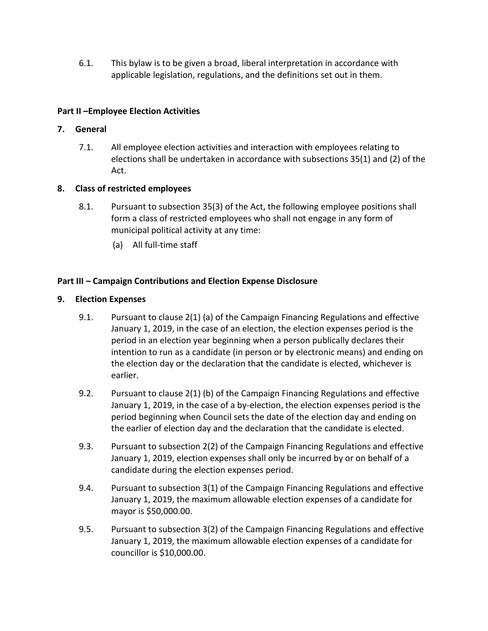6.1. This bylaw is to be given a broad, liberal interpretation in accordance with applicable legislation, regulations, and the definitions set out in them.

## **Part II –Employee Election Activities**

### **7. General**

7.1. All employee election activities and interaction with employees relating to elections shall be undertaken in accordance with subsections 35(1) and (2) of the Act.

## **8. Class of restricted employees**

- 8.1. Pursuant to subsection 35(3) of the Act, the following employee positions shall form a class of restricted employees who shall not engage in any form of municipal political activity at any time:
	- (a) All full-time staff

## **Part III – Campaign Contributions and Election Expense Disclosure**

### **9. Election Expenses**

- 9.1. Pursuant to clause 2(1) (a) of the Campaign Financing Regulations and effective January 1, 2019, in the case of an election, the election expenses period is the period in an election year beginning when a person publically declares their intention to run as a candidate (in person or by electronic means) and ending on the election day or the declaration that the candidate is elected, whichever is earlier.
- 9.2. Pursuant to clause 2(1) (b) of the Campaign Financing Regulations and effective January 1, 2019, in the case of a by-election, the election expenses period is the period beginning when Council sets the date of the election day and ending on the earlier of election day and the declaration that the candidate is elected.
- 9.3. Pursuant to subsection 2(2) of the Campaign Financing Regulations and effective January 1, 2019, election expenses shall only be incurred by or on behalf of a candidate during the election expenses period.
- 9.4. Pursuant to subsection 3(1) of the Campaign Financing Regulations and effective January 1, 2019, the maximum allowable election expenses of a candidate for mayor is \$50,000.00.
- 9.5. Pursuant to subsection 3(2) of the Campaign Financing Regulations and effective January 1, 2019, the maximum allowable election expenses of a candidate for councillor is \$10,000.00.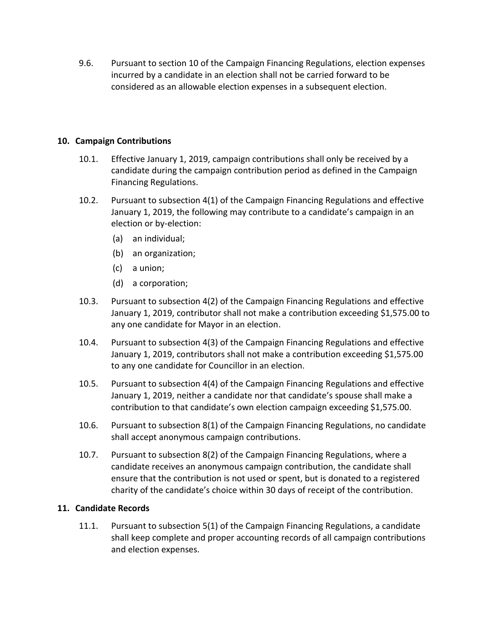9.6. Pursuant to section 10 of the Campaign Financing Regulations, election expenses incurred by a candidate in an election shall not be carried forward to be considered as an allowable election expenses in a subsequent election.

### **10. Campaign Contributions**

- 10.1. Effective January 1, 2019, campaign contributions shall only be received by a candidate during the campaign contribution period as defined in the Campaign Financing Regulations.
- 10.2. Pursuant to subsection 4(1) of the Campaign Financing Regulations and effective January 1, 2019, the following may contribute to a candidate's campaign in an election or by-election:
	- (a) an individual;
	- (b) an organization;
	- (c) a union;
	- (d) a corporation;
- 10.3. Pursuant to subsection 4(2) of the Campaign Financing Regulations and effective January 1, 2019, contributor shall not make a contribution exceeding \$1,575.00 to any one candidate for Mayor in an election.
- 10.4. Pursuant to subsection 4(3) of the Campaign Financing Regulations and effective January 1, 2019, contributors shall not make a contribution exceeding \$1,575.00 to any one candidate for Councillor in an election.
- 10.5. Pursuant to subsection 4(4) of the Campaign Financing Regulations and effective January 1, 2019, neither a candidate nor that candidate's spouse shall make a contribution to that candidate's own election campaign exceeding \$1,575.00.
- 10.6. Pursuant to subsection 8(1) of the Campaign Financing Regulations, no candidate shall accept anonymous campaign contributions.
- 10.7. Pursuant to subsection 8(2) of the Campaign Financing Regulations, where a candidate receives an anonymous campaign contribution, the candidate shall ensure that the contribution is not used or spent, but is donated to a registered charity of the candidate's choice within 30 days of receipt of the contribution.

### **11. Candidate Records**

11.1. Pursuant to subsection 5(1) of the Campaign Financing Regulations, a candidate shall keep complete and proper accounting records of all campaign contributions and election expenses.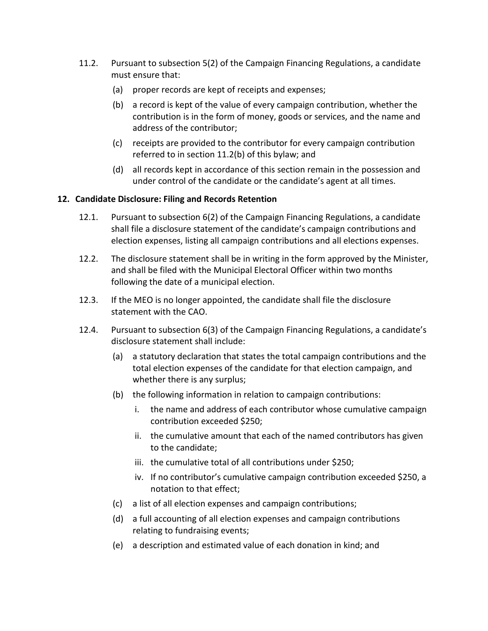- 11.2. Pursuant to subsection 5(2) of the Campaign Financing Regulations, a candidate must ensure that:
	- (a) proper records are kept of receipts and expenses;
	- (b) a record is kept of the value of every campaign contribution, whether the contribution is in the form of money, goods or services, and the name and address of the contributor;
	- (c) receipts are provided to the contributor for every campaign contribution referred to in section 11.2(b) of this bylaw; and
	- (d) all records kept in accordance of this section remain in the possession and under control of the candidate or the candidate's agent at all times.

### **12. Candidate Disclosure: Filing and Records Retention**

- 12.1. Pursuant to subsection 6(2) of the Campaign Financing Regulations, a candidate shall file a disclosure statement of the candidate's campaign contributions and election expenses, listing all campaign contributions and all elections expenses.
- 12.2. The disclosure statement shall be in writing in the form approved by the Minister, and shall be filed with the Municipal Electoral Officer within two months following the date of a municipal election.
- 12.3. If the MEO is no longer appointed, the candidate shall file the disclosure statement with the CAO.
- 12.4. Pursuant to subsection 6(3) of the Campaign Financing Regulations, a candidate's disclosure statement shall include:
	- (a) a statutory declaration that states the total campaign contributions and the total election expenses of the candidate for that election campaign, and whether there is any surplus;
	- (b) the following information in relation to campaign contributions:
		- i. the name and address of each contributor whose cumulative campaign contribution exceeded \$250;
		- ii. the cumulative amount that each of the named contributors has given to the candidate;
		- iii. the cumulative total of all contributions under \$250;
		- iv. If no contributor's cumulative campaign contribution exceeded \$250, a notation to that effect;
	- (c) a list of all election expenses and campaign contributions;
	- (d) a full accounting of all election expenses and campaign contributions relating to fundraising events;
	- (e) a description and estimated value of each donation in kind; and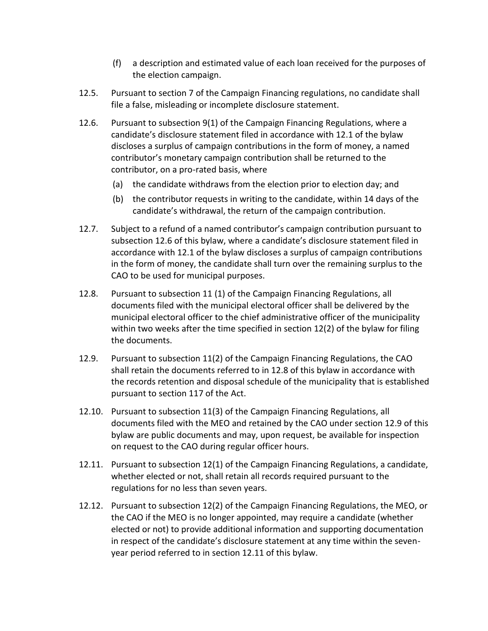- (f) a description and estimated value of each loan received for the purposes of the election campaign.
- 12.5. Pursuant to section 7 of the Campaign Financing regulations, no candidate shall file a false, misleading or incomplete disclosure statement.
- 12.6. Pursuant to subsection 9(1) of the Campaign Financing Regulations, where a candidate's disclosure statement filed in accordance with 12.1 of the bylaw discloses a surplus of campaign contributions in the form of money, a named contributor's monetary campaign contribution shall be returned to the contributor, on a pro-rated basis, where
	- (a) the candidate withdraws from the election prior to election day; and
	- (b) the contributor requests in writing to the candidate, within 14 days of the candidate's withdrawal, the return of the campaign contribution.
- 12.7. Subject to a refund of a named contributor's campaign contribution pursuant to subsection 12.6 of this bylaw, where a candidate's disclosure statement filed in accordance with 12.1 of the bylaw discloses a surplus of campaign contributions in the form of money, the candidate shall turn over the remaining surplus to the CAO to be used for municipal purposes.
- 12.8. Pursuant to subsection 11 (1) of the Campaign Financing Regulations, all documents filed with the municipal electoral officer shall be delivered by the municipal electoral officer to the chief administrative officer of the municipality within two weeks after the time specified in section 12(2) of the bylaw for filing the documents.
- 12.9. Pursuant to subsection 11(2) of the Campaign Financing Regulations, the CAO shall retain the documents referred to in 12.8 of this bylaw in accordance with the records retention and disposal schedule of the municipality that is established pursuant to section 117 of the Act.
- 12.10. Pursuant to subsection 11(3) of the Campaign Financing Regulations, all documents filed with the MEO and retained by the CAO under section 12.9 of this bylaw are public documents and may, upon request, be available for inspection on request to the CAO during regular officer hours.
- 12.11. Pursuant to subsection 12(1) of the Campaign Financing Regulations, a candidate, whether elected or not, shall retain all records required pursuant to the regulations for no less than seven years.
- 12.12. Pursuant to subsection 12(2) of the Campaign Financing Regulations, the MEO, or the CAO if the MEO is no longer appointed, may require a candidate (whether elected or not) to provide additional information and supporting documentation in respect of the candidate's disclosure statement at any time within the sevenyear period referred to in section 12.11 of this bylaw.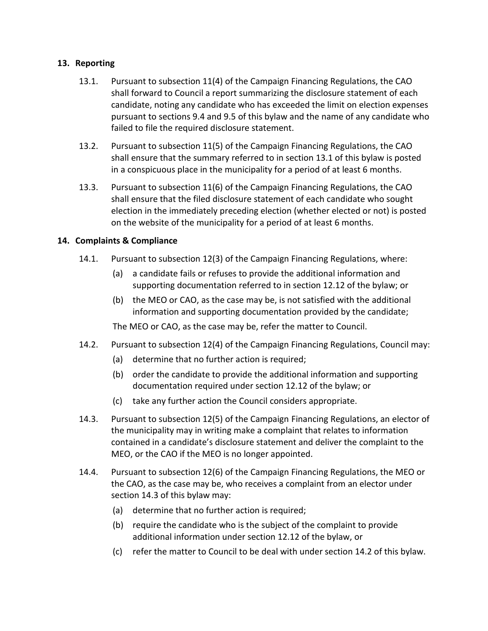### **13. Reporting**

- 13.1. Pursuant to subsection 11(4) of the Campaign Financing Regulations, the CAO shall forward to Council a report summarizing the disclosure statement of each candidate, noting any candidate who has exceeded the limit on election expenses pursuant to sections 9.4 and 9.5 of this bylaw and the name of any candidate who failed to file the required disclosure statement.
- 13.2. Pursuant to subsection 11(5) of the Campaign Financing Regulations, the CAO shall ensure that the summary referred to in section 13.1 of this bylaw is posted in a conspicuous place in the municipality for a period of at least 6 months.
- 13.3. Pursuant to subsection 11(6) of the Campaign Financing Regulations, the CAO shall ensure that the filed disclosure statement of each candidate who sought election in the immediately preceding election (whether elected or not) is posted on the website of the municipality for a period of at least 6 months.

### **14. Complaints & Compliance**

- 14.1. Pursuant to subsection 12(3) of the Campaign Financing Regulations, where:
	- (a) a candidate fails or refuses to provide the additional information and supporting documentation referred to in section 12.12 of the bylaw; or
	- (b) the MEO or CAO, as the case may be, is not satisfied with the additional information and supporting documentation provided by the candidate;

The MEO or CAO, as the case may be, refer the matter to Council.

- 14.2. Pursuant to subsection 12(4) of the Campaign Financing Regulations, Council may:
	- (a) determine that no further action is required;
	- (b) order the candidate to provide the additional information and supporting documentation required under section 12.12 of the bylaw; or
	- (c) take any further action the Council considers appropriate.
- 14.3. Pursuant to subsection 12(5) of the Campaign Financing Regulations, an elector of the municipality may in writing make a complaint that relates to information contained in a candidate's disclosure statement and deliver the complaint to the MEO, or the CAO if the MEO is no longer appointed.
- 14.4. Pursuant to subsection 12(6) of the Campaign Financing Regulations, the MEO or the CAO, as the case may be, who receives a complaint from an elector under section 14.3 of this bylaw may:
	- (a) determine that no further action is required;
	- (b) require the candidate who is the subject of the complaint to provide additional information under section 12.12 of the bylaw, or
	- (c) refer the matter to Council to be deal with under section 14.2 of this bylaw.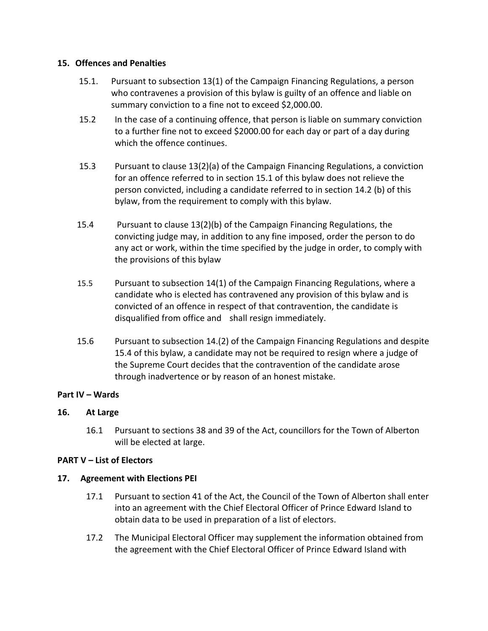#### **15. Offences and Penalties**

- 15.1. Pursuant to subsection 13(1) of the Campaign Financing Regulations, a person who contravenes a provision of this bylaw is guilty of an offence and liable on summary conviction to a fine not to exceed \$2,000.00.
- 15.2 In the case of a continuing offence, that person is liable on summary conviction to a further fine not to exceed \$2000.00 for each day or part of a day during which the offence continues.
- 15.3 Pursuant to clause 13(2)(a) of the Campaign Financing Regulations, a conviction for an offence referred to in section 15.1 of this bylaw does not relieve the person convicted, including a candidate referred to in section 14.2 (b) of this bylaw, from the requirement to comply with this bylaw.
- 15.4 Pursuant to clause 13(2)(b) of the Campaign Financing Regulations, the convicting judge may, in addition to any fine imposed, order the person to do any act or work, within the time specified by the judge in order, to comply with the provisions of this bylaw
- 15.5 Pursuant to subsection 14(1) of the Campaign Financing Regulations, where a candidate who is elected has contravened any provision of this bylaw and is convicted of an offence in respect of that contravention, the candidate is disqualified from office and shall resign immediately.
- 15.6 Pursuant to subsection 14.(2) of the Campaign Financing Regulations and despite 15.4 of this bylaw, a candidate may not be required to resign where a judge of the Supreme Court decides that the contravention of the candidate arose through inadvertence or by reason of an honest mistake.

#### **Part IV – Wards**

#### **16. At Large**

16.1 Pursuant to sections 38 and 39 of the Act, councillors for the Town of Alberton will be elected at large.

#### **PART V – List of Electors**

#### **17. Agreement with Elections PEI**

- 17.1 Pursuant to section 41 of the Act, the Council of the Town of Alberton shall enter into an agreement with the Chief Electoral Officer of Prince Edward Island to obtain data to be used in preparation of a list of electors.
- 17.2 The Municipal Electoral Officer may supplement the information obtained from the agreement with the Chief Electoral Officer of Prince Edward Island with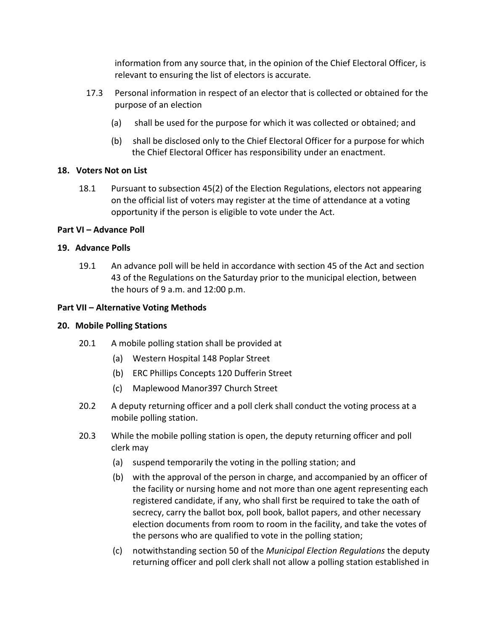information from any source that, in the opinion of the Chief Electoral Officer, is relevant to ensuring the list of electors is accurate.

- 17.3 Personal information in respect of an elector that is collected or obtained for the purpose of an election
	- (a) shall be used for the purpose for which it was collected or obtained; and
	- (b) shall be disclosed only to the Chief Electoral Officer for a purpose for which the Chief Electoral Officer has responsibility under an enactment.

### **18. Voters Not on List**

18.1 Pursuant to subsection 45(2) of the Election Regulations, electors not appearing on the official list of voters may register at the time of attendance at a voting opportunity if the person is eligible to vote under the Act.

### **Part VI – Advance Poll**

### **19. Advance Polls**

19.1 An advance poll will be held in accordance with section 45 of the Act and section 43 of the Regulations on the Saturday prior to the municipal election, between the hours of 9 a.m. and 12:00 p.m.

### **Part VII – Alternative Voting Methods**

#### **20. Mobile Polling Stations**

- 20.1 A mobile polling station shall be provided at
	- (a) Western Hospital 148 Poplar Street
	- (b) ERC Phillips Concepts 120 Dufferin Street
	- (c) Maplewood Manor397 Church Street
- 20.2 A deputy returning officer and a poll clerk shall conduct the voting process at a mobile polling station.
- 20.3 While the mobile polling station is open, the deputy returning officer and poll clerk may
	- (a) suspend temporarily the voting in the polling station; and
	- (b) with the approval of the person in charge, and accompanied by an officer of the facility or nursing home and not more than one agent representing each registered candidate, if any, who shall first be required to take the oath of secrecy, carry the ballot box, poll book, ballot papers, and other necessary election documents from room to room in the facility, and take the votes of the persons who are qualified to vote in the polling station;
	- (c) notwithstanding section 50 of the *Municipal Election Regulations* the deputy returning officer and poll clerk shall not allow a polling station established in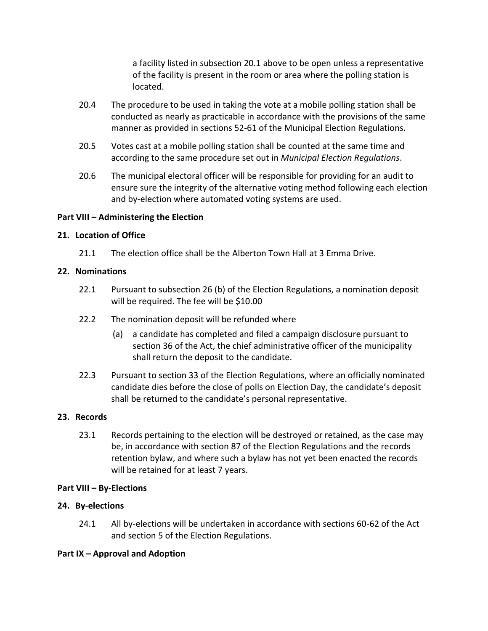a facility listed in subsection 20.1 above to be open unless a representative of the facility is present in the room or area where the polling station is located.

- 20.4 The procedure to be used in taking the vote at a mobile polling station shall be conducted as nearly as practicable in accordance with the provisions of the same manner as provided in sections 52-61 of the Municipal Election Regulations.
- 20.5 Votes cast at a mobile polling station shall be counted at the same time and according to the same procedure set out in *Municipal Election Regulations*.
- 20.6 The municipal electoral officer will be responsible for providing for an audit to ensure sure the integrity of the alternative voting method following each election and by-election where automated voting systems are used.

### **Part VIII – Administering the Election**

#### **21. Location of Office**

21.1 The election office shall be the Alberton Town Hall at 3 Emma Drive.

#### **22. Nominations**

- 22.1 Pursuant to subsection 26 (b) of the Election Regulations, a nomination deposit will be required. The fee will be \$10.00
- 22.2 The nomination deposit will be refunded where
	- (a) a candidate has completed and filed a campaign disclosure pursuant to section 36 of the Act, the chief administrative officer of the municipality shall return the deposit to the candidate.
- 22.3 Pursuant to section 33 of the Election Regulations, where an officially nominated candidate dies before the close of polls on Election Day, the candidate's deposit shall be returned to the candidate's personal representative.

#### **23. Records**

23.1 Records pertaining to the election will be destroyed or retained, as the case may be, in accordance with section 87 of the Election Regulations and the records retention bylaw, and where such a bylaw has not yet been enacted the records will be retained for at least 7 years.

#### **Part VIII – By-Elections**

#### **24. By-elections**

24.1 All by-elections will be undertaken in accordance with sections 60-62 of the Act and section 5 of the Election Regulations.

#### **Part IX – Approval and Adoption**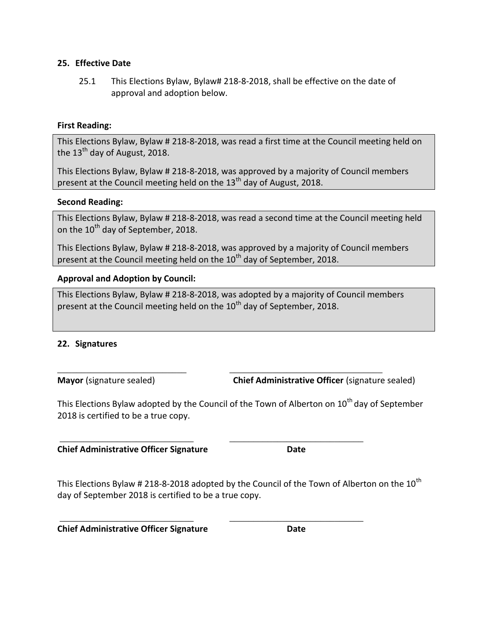#### **25. Effective Date**

25.1 This Elections Bylaw, Bylaw# 218-8-2018, shall be effective on the date of approval and adoption below.

#### **First Reading:**

This Elections Bylaw, Bylaw # 218-8-2018, was read a first time at the Council meeting held on the  $13<sup>th</sup>$  day of August, 2018.

This Elections Bylaw, Bylaw # 218-8-2018, was approved by a majority of Council members present at the Council meeting held on the  $13<sup>th</sup>$  day of August, 2018.

#### **Second Reading:**

This Elections Bylaw, Bylaw # 218-8-2018, was read a second time at the Council meeting held on the 10<sup>th</sup> day of September, 2018.

This Elections Bylaw, Bylaw # 218-8-2018, was approved by a majority of Council members present at the Council meeting held on the 10<sup>th</sup> day of September, 2018.

### **Approval and Adoption by Council:**

This Elections Bylaw, Bylaw # 218-8-2018, was adopted by a majority of Council members present at the Council meeting held on the 10<sup>th</sup> day of September, 2018.

\_\_\_\_\_\_\_\_\_\_\_\_\_\_\_\_\_\_\_\_\_\_\_\_\_\_\_ \_\_\_\_\_\_\_\_\_\_\_\_\_\_\_\_\_\_\_\_\_\_\_\_\_\_\_\_\_\_\_\_

\_\_\_\_\_\_\_\_\_\_\_\_\_\_\_\_\_\_\_\_\_\_\_\_\_\_\_\_ \_\_\_\_\_\_\_\_\_\_\_\_\_\_\_\_\_\_\_\_\_\_\_\_\_\_\_\_

\_\_\_\_\_\_\_\_\_\_\_\_\_\_\_\_\_\_\_\_\_\_\_\_\_\_\_\_ \_\_\_\_\_\_\_\_\_\_\_\_\_\_\_\_\_\_\_\_\_\_\_\_\_\_\_\_

#### **22. Signatures**

**Mayor** (signature sealed) **Chief Administrative Officer** (signature sealed)

This Elections Bylaw adopted by the Council of the Town of Alberton on 10<sup>th</sup> day of September 2018 is certified to be a true copy.

**Chief Administrative Officer Signature Date**

This Elections Bylaw # 218-8-2018 adopted by the Council of the Town of Alberton on the  $10^{th}$ day of September 2018 is certified to be a true copy.

**Chief Administrative Officer Signature Date**